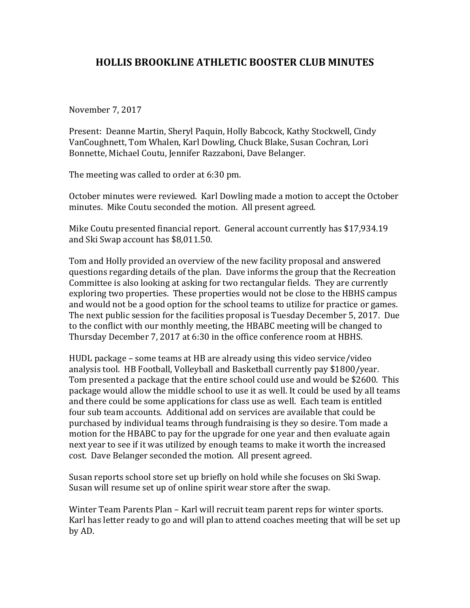## **HOLLIS BROOKLINE ATHLETIC BOOSTER CLUB MINUTES**

November 7, 2017

Present: Deanne Martin, Sheryl Paquin, Holly Babcock, Kathy Stockwell, Cindy VanCoughnett, Tom Whalen, Karl Dowling, Chuck Blake, Susan Cochran, Lori Bonnette, Michael Coutu, Jennifer Razzaboni, Dave Belanger.

The meeting was called to order at 6:30 pm.

October minutes were reviewed. Karl Dowling made a motion to accept the October minutes. Mike Coutu seconded the motion. All present agreed.

Mike Coutu presented financial report. General account currently has \$17,934.19 and Ski Swap account has \$8,011.50.

Tom and Holly provided an overview of the new facility proposal and answered questions regarding details of the plan. Dave informs the group that the Recreation Committee is also looking at asking for two rectangular fields. They are currently exploring two properties. These properties would not be close to the HBHS campus and would not be a good option for the school teams to utilize for practice or games. The next public session for the facilities proposal is Tuesday December 5, 2017. Due to the conflict with our monthly meeting, the HBABC meeting will be changed to Thursday December 7, 2017 at 6:30 in the office conference room at HBHS.

HUDL package – some teams at HB are already using this video service/video analysis tool. HB Football, Volleyball and Basketball currently pay \$1800/year. Tom presented a package that the entire school could use and would be \$2600. This package would allow the middle school to use it as well. It could be used by all teams and there could be some applications for class use as well. Each team is entitled four sub team accounts. Additional add on services are available that could be purchased by individual teams through fundraising is they so desire. Tom made a motion for the HBABC to pay for the upgrade for one year and then evaluate again next year to see if it was utilized by enough teams to make it worth the increased cost. Dave Belanger seconded the motion. All present agreed.

Susan reports school store set up briefly on hold while she focuses on Ski Swap. Susan will resume set up of online spirit wear store after the swap.

Winter Team Parents Plan – Karl will recruit team parent reps for winter sports. Karl has letter ready to go and will plan to attend coaches meeting that will be set up by AD.